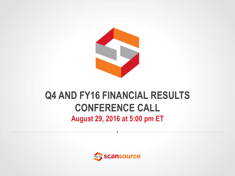

### **Q4 AND FY16 FINANCIAL RESULTS CONFERENCE CALL August 29, 2016 at 5:00 pm ET**

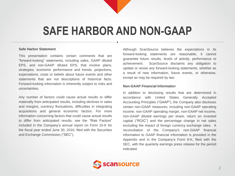## **SAFE HARBOR AND NON-GAAP**

#### **Safe Harbor Statement**

This presentation contains certain comments that are "forward-looking" statements, including sales, GAAP diluted EPS, and non-GAAP diluted EPS, that involve plans, strategies, economic performance and trends, projections, expectations, costs or beliefs about future events and other statements that are not descriptions of historical facts. Forward-looking information is inherently subject to risks and uncertainties.

Any number of factors could cause actual results to differ materially from anticipated results, including declines in sales and margins, currency fluctuations, difficulties in integrating acquisitions and general economic factors. For more information concerning factors that could cause actual results to differ from anticipated results, see the "Risk Factors" included in the Company's annual report on Form 10-K for the fiscal year ended June 30, 2016, filed with the Securities and Exchange Commission ("SEC").

Although ScanSource believes the expectations in its forward-looking statements are reasonable, it cannot guarantee future results, levels of activity, performance or achievement. ScanSource disclaims any obligation to update or revise any forward-looking statements, whether as a result of new information, future events, or otherwise, except as may be required by law.

#### **Non-GAAP Financial Informatio**n

In addition to disclosing results that are determined in accordance with United States Generally Accepted Accounting Principles ("GAAP"), the Company also discloses certain non-GAAP measures, including non-GAAP operating income, non-GAAP operating margin, non-GAAP net income, non-GAAP diluted earnings per share, return on invested capital ("ROIC") and the percentage change in net sales excluding the impact of foreign currency exchange rates. A reconciliation of the Company's non-GAAP financial information to GAAP financial information is provided in the Appendix and in the Company's Form 8-K, filed with the SEC, with the quarterly earnings press release for the period indicated.

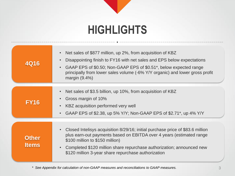## **HIGHLIGHTS**

| <b>4Q16</b>                  | Net sales of \$877 million, up 2%, from acquisition of KBZ<br>$\bullet$<br>Disappointing finish to FY16 with net sales and EPS below expectations<br>$\bullet$<br>GAAP EPS of \$0.50; Non-GAAP EPS of \$0.51*, below expected range<br>$\bullet$<br>principally from lower sales volume (-6% Y/Y organic) and lower gross profit<br>margin $(9.4\%)$ |
|------------------------------|------------------------------------------------------------------------------------------------------------------------------------------------------------------------------------------------------------------------------------------------------------------------------------------------------------------------------------------------------|
| <b>FY16</b>                  | Net sales of \$3.5 billion, up 10%, from acquisition of KBZ<br>$\bullet$<br>Gross margin of 10%<br>$\bullet$<br>KBZ acquisition performed very well<br>$\bullet$<br>GAAP EPS of \$2.38, up 5% Y/Y; Non-GAAP EPS of \$2.71*, up 4% Y/Y<br>$\bullet$                                                                                                   |
| <b>Other</b><br><b>Items</b> | Closed Intelisys acquisition 8/29/16; initial purchase price of \$83.6 million<br>$\bullet$<br>plus earn-out payments based on EBITDA over 4 years (estimated range<br>\$100 million to \$150 million)<br>Completed \$120 million share repurchase authorization; announced new<br>$\bullet$<br>\$120 million 3-year share repurchase authorization  |

*\* See Appendix for calculation of non-GAAP measures and reconciliations to GAAP measures.*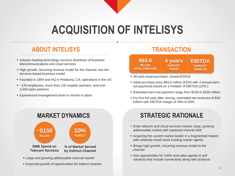## **ACQUISITION OF INTELISYS**

### **ABOUT INTELISYS**

- **Industry-leading technology services distributor of business** telecommunications and cloud services
- High-growth, recurring revenue model for the channel; two-tier services-based business model
- Founded in 1994 and HQ in Petaluma, CA; operations in the US
- ~120 employees, more than 130 supplier partners, and over 2,400 sales partners
- **Experienced management team to remain in place**



- **Large and growing addressable channel market**
- Expected growth of opportunities for indirect channel

### **TRANSACTION**

- All-cash asset purchase; closed 8/29/16
- Initial purchase price \$83.6 million (52%) with 4 annual earnout payments based on a multiple of EBITDA (12% )
- Estimated earn-out payment range from \$100 to \$150 million
- For first full year after closing, estimated net revenues of \$34 million with EBITDA margin of 45% to 50%

- Enter telecom and cloud services market; large, growing addressable market with expected channel shift
- Acquiring the current market leader in a fragmented market with relatively small-sized existing master agents
- **Brings high-growth, recurring revenue model to the** channel
- See opportunities for VARs and sales agents to sell solutions that include connectivity along with products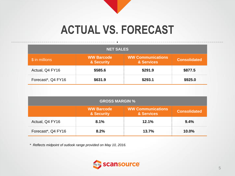## **ACTUAL VS. FORECAST**

| <b>NET SALES</b>   |                                            |                                        |                     |  |
|--------------------|--------------------------------------------|----------------------------------------|---------------------|--|
| \$ in millions     | <b>WW Barcode</b><br><b>&amp; Security</b> | <b>WW Communications</b><br>& Services | <b>Consolidated</b> |  |
| Actual, Q4 FY16    | \$585.6                                    | \$291.9                                | \$877.5             |  |
| Forecast*, Q4 FY16 | \$631.9                                    | \$293.1                                | \$925.0             |  |

| <b>GROSS MARGIN %</b>                                                                            |      |       |       |  |  |
|--------------------------------------------------------------------------------------------------|------|-------|-------|--|--|
| <b>WW Communications</b><br><b>WW Barcode</b><br><b>Consolidated</b><br>& Services<br>& Security |      |       |       |  |  |
| Actual, Q4 FY16                                                                                  | 8.1% | 12.1% | 9.4%  |  |  |
| Forecast*, Q4 FY16                                                                               | 8.2% | 13.7% | 10.0% |  |  |

*\* Reflects midpoint of outlook range provided on May 10, 2016.* 

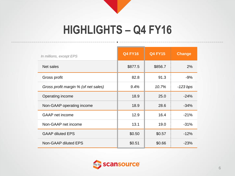## **HIGHLIGHTS – Q4 FY16**

| In millions, except EPS              | <b>Q4 FY16</b> | <b>Q4 FY15</b> | <b>Change</b> |
|--------------------------------------|----------------|----------------|---------------|
| Net sales                            | \$877.5        | \$856.7        | 2%            |
| Gross profit                         | 82.8           | 91.3           | $-9%$         |
| Gross profit margin % (of net sales) | 9.4%           | 10.7%          | $-123 bps$    |
| Operating income                     | 18.9           | 25.0           | $-24%$        |
| Non-GAAP operating income            | 18.9           | 28.6           | $-34%$        |
| <b>GAAP</b> net income               | 12.9           | 16.4           | $-21%$        |
| Non-GAAP net income                  | 13.1           | 19.0           | $-31%$        |
| <b>GAAP diluted EPS</b>              | \$0.50         | \$0.57         | $-12%$        |
| Non-GAAP diluted EPS                 | \$0.51         | \$0.66         | $-23%$        |

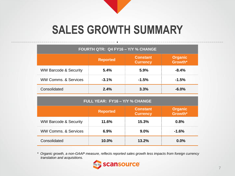# **SALES GROWTH SUMMARY**

| FOURTH QTR: Q4 FY16 - Y/Y % CHANGE |                 |                                    |                           |  |
|------------------------------------|-----------------|------------------------------------|---------------------------|--|
|                                    | <b>Reported</b> | <b>Constant</b><br><b>Currency</b> | <b>Organic</b><br>Growth* |  |
| <b>WW Barcode &amp; Security</b>   | 5.4%            | 5.9%                               | $-8.4%$                   |  |
| <b>WW Comms, &amp; Services</b>    | $-3.1%$         | $-1.5%$                            | $-1.5%$                   |  |
| Consolidated                       | 2.4%            | 3.3%                               | $-6.0%$                   |  |

| FULL YEAR: FY16 - Y/Y % CHANGE                                                     |       |       |         |  |  |
|------------------------------------------------------------------------------------|-------|-------|---------|--|--|
| <b>Organic</b><br><b>Constant</b><br><b>Reported</b><br>Growth*<br><b>Currency</b> |       |       |         |  |  |
| <b>WW Barcode &amp; Security</b>                                                   | 11.6% | 15.3% | 0.8%    |  |  |
| <b>WW Comms, &amp; Services</b>                                                    | 6.9%  | 9.0%  | $-1.6%$ |  |  |
| Consolidated<br>10.0%<br>13.2%<br>0.0%                                             |       |       |         |  |  |

*\* Organic growth, a non-GAAP measure, reflects reported sales growth less impacts from foreign currency translation and acquisitions.* 

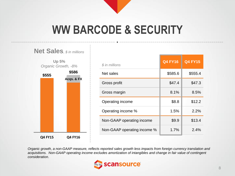## **WW BARCODE & SECURITY**



| \$ in millions              | <b>Q4 FY16</b> | <b>Q4 FY15</b> |
|-----------------------------|----------------|----------------|
| Net sales                   | \$585.6        | \$555.4        |
| Gross profit                | \$47.4         | \$47.3         |
| Gross margin                | 8.1%           | 8.5%           |
| Operating income            | \$8.8          | \$12.2         |
| Operating income %          | 1.5%           | 2.2%           |
| Non-GAAP operating income   | \$9.9          | \$13.4         |
| Non-GAAP operating income % | 1.7%           | 2.4%           |

*Organic growth, a non-GAAP measure, reflects reported sales growth less impacts from foreign currency translation and acquisitions. Non-GAAP operating income excludes amortization of intangibles and change in fair value of contingent consideration.*

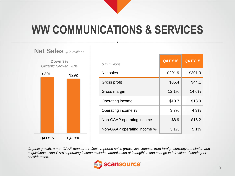# **WW COMMUNICATIONS & SERVICES**



| \$ in millions              | <b>Q4 FY16</b> | <b>Q4 FY15</b> |
|-----------------------------|----------------|----------------|
| Net sales                   | \$291.9        | \$301.3        |
| Gross profit                | \$35.4         | \$44.1         |
| Gross margin                | 12.1%          | 14.6%          |
| Operating income            | \$10.7         | \$13.0         |
| Operating income %          | 3.7%           | 4.3%           |
| Non-GAAP operating income   | \$8.9          | \$15.2         |
| Non-GAAP operating income % | 3.1%           | 5.1%           |

*Organic growth, a non-GAAP measure, reflects reported sales growth less impacts from foreign currency translation and acquisitions. Non-GAAP operating income excludes amortization of intangibles and change in fair value of contingent consideration.* 

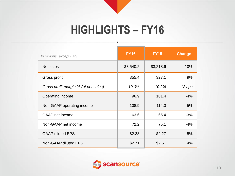## **HIGHLIGHTS – FY16**

| In millions, except EPS              | <b>FY16</b> | <b>FY15</b> | <b>Change</b> |
|--------------------------------------|-------------|-------------|---------------|
| Net sales                            | \$3,540.2   | \$3,218.6   | 10%           |
| Gross profit                         | 355.4       | 327.1       | 9%            |
| Gross profit margin % (of net sales) | 10.0%       | 10.2%       | $-12 bps$     |
| Operating income                     | 96.9        | 101.4       | $-4%$         |
| Non-GAAP operating income            | 108.9       | 114.0       | $-5%$         |
| GAAP net income                      | 63.6        | 65.4        | $-3%$         |
| Non-GAAP net income                  | 72.2        | 75.1        | $-4%$         |
| <b>GAAP diluted EPS</b>              | \$2.38      | \$2.27      | 5%            |
| Non-GAAP diluted EPS                 | \$2.71      | \$2.61      | 4%            |

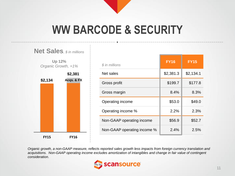# **WW BARCODE & SECURITY**



| \$ in millions              | <b>FY16</b> | <b>FY15</b> |
|-----------------------------|-------------|-------------|
| Net sales                   | \$2,381.3   | \$2,134.1   |
| Gross profit                | \$199.7     | \$177.8     |
| Gross margin                | 8.4%        | 8.3%        |
| Operating income            | \$53.0      | \$49.0      |
| Operating income %          | 2.2%        | 2.3%        |
| Non-GAAP operating income   | \$56.9      | \$52.7      |
| Non-GAAP operating income % | 2.4%        | 2.5%        |

*Organic growth, a non-GAAP measure, reflects reported sales growth less impacts from foreign currency translation and acquisitions. Non-GAAP operating income excludes amortization of intangibles and change in fair value of contingent consideration.* 

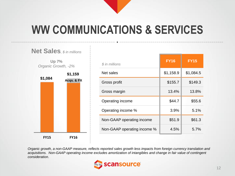# **WW COMMUNICATIONS & SERVICES**



| \$ in millions              | <b>FY16</b> | <b>FY15</b> |
|-----------------------------|-------------|-------------|
| Net sales                   | \$1,158.9   | \$1,084.5   |
| Gross profit                | \$155.7     | \$149.3     |
| Gross margin                | 13.4%       | 13.8%       |
| Operating income            | \$44.7      | \$55.6      |
| Operating income %          | 3.9%        | 5.1%        |
| Non-GAAP operating income   | \$51.9      | \$61.3      |
| Non-GAAP operating income % | 4.5%        | 5.7%        |

*Organic growth, a non-GAAP measure, reflects reported sales growth less impacts from foreign currency translation and acquisitions. Non-GAAP operating income excludes amortization of intangibles and change in fair value of contingent consideration.* 

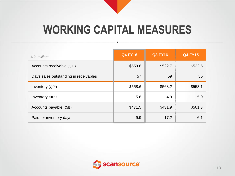## **WORKING CAPITAL MEASURES**

| \$ in millions                        | <b>Q4 FY16</b> | <b>Q3 FY16</b> | <b>Q4 FY15</b> |
|---------------------------------------|----------------|----------------|----------------|
| Accounts receivable (Q/E)             | \$559.6        | \$522.7        | \$522.5        |
| Days sales outstanding in receivables | 57             | 59             | 55             |
| Inventory (Q/E)                       | \$558.6        | \$568.2        | \$553.1        |
| Inventory turns                       | 5.6            | 4.9            | 5.9            |
| Accounts payable (Q/E)                | \$471.5        | \$431.9        | \$501.3        |
| Paid for inventory days               | 9.9            | 17.2           | 6.1            |

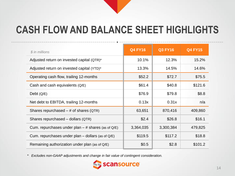## **CASH FLOW AND BALANCE SHEET HIGHLIGHTS**

| \$ in millions                                         | <b>Q4 FY16</b> | <b>Q3 FY16</b> | <b>Q4 FY15</b> |
|--------------------------------------------------------|----------------|----------------|----------------|
| Adjusted return on invested capital (QTR)*             | 10.1%          | 12.3%          | 15.2%          |
| Adjusted return on invested capital (YTD)*             | 13.3%          | 14.5%          | 14.6%          |
| Operating cash flow, trailing 12-months                | \$52.2         | \$72.7         | \$75.5         |
| Cash and cash equivalents (Q/E)                        | \$61.4         | \$40.8         | \$121.6        |
| Debt $(Q/E)$                                           | \$76.9         | \$79.8         | \$8.8          |
| Net debt to EBITDA, trailing 12-months                 | 0.13x          | 0.31x          | n/a            |
| Shares repurchased $-$ # of shares (QTR)               | 63,651         | 870,416        | 409,860        |
| Shares repurchased - dollars (QTR)                     | \$2.4          | \$26.8         | \$16.1         |
| Cum. repurchases under plan $-$ # shares (as of Q/E)   | 3,364,035      | 3,300,384      | 479,825        |
| Cum. repurchases under plan $-$ dollars (as of $Q/E$ ) | \$119.5        | \$117.2        | \$18.8         |
| Remaining authorization under plan (as of Q/E)         | \$0.5          | \$2.8          | \$101.2        |

*\* Excludes non-GAAP adjustments and change in fair value of contingent consideration.*

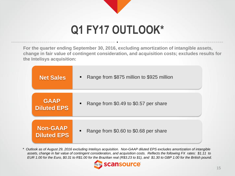# **Q1 FY17 OUTLOOK\***

**For the quarter ending September 30, 2016, excluding amortization of intangible assets, change in fair value of contingent consideration, and acquisition costs; excludes results for the Intelisys acquisition:**

| <b>Net Sales</b>   | Range from \$875 million to \$925 million<br>$\blacksquare$ |
|--------------------|-------------------------------------------------------------|
| <b>GAAP</b>        | Range from \$0.49 to \$0.57 per share                       |
| <b>Diluted EPS</b> | $\blacksquare$                                              |
| <b>Non-GAAP</b>    | Range from \$0.60 to \$0.68 per share                       |
| <b>Diluted EPS</b> | $\blacksquare$                                              |

*\* Outlook as of August 29, 2016 excluding Intelisys acquisition. Non-GAAP diluted EPS excludes amortization of intangible assets, change in fair value of contingent consideration, and acquisition costs. Reflects the following FX rates: \$1.11 to EUR 1.00 for the Euro, \$0.31 to R\$1.00 for the Brazilian real (R\$3.23 to \$1), and \$1.30 to GBP 1.00 for the British pound.*

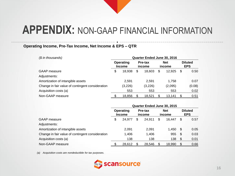### **Operating Income, Pre-Tax Income, Net Income & EPS – QTR**

| $$$ in thousands)                                | Quarter Ended June 30, 2016 |                            |    |                   |    |                      |    |                              |  |
|--------------------------------------------------|-----------------------------|----------------------------|----|-------------------|----|----------------------|----|------------------------------|--|
|                                                  |                             | Operating<br><b>Income</b> |    | Pre-tax<br>income |    | <b>Net</b><br>income |    | <b>Diluted</b><br><b>EPS</b> |  |
| <b>GAAP</b> measure                              | \$                          | 18,938                     | \$ | 18,603            | \$ | 12.925               | \$ | 0.50                         |  |
| Adjustments:                                     |                             |                            |    |                   |    |                      |    |                              |  |
| Amortization of intangible assets                |                             | 2.591                      |    | 2.591             |    | 1.758                |    | 0.07                         |  |
| Change in fair value of contingent consideration |                             | (3,226)                    |    | (3,226)           |    | (2,095)              |    | (0.08)                       |  |
| Acquisition costs (a)                            |                             | 553                        |    | 553               |    | 553                  |    | 0.02                         |  |
| Non-GAAP measure                                 |                             | 18,856                     |    | 18,521            | S  | 13,141               | S  | 0.51                         |  |

|                                                  | Quarter Ended June 30, 2015 |        |                   |        |                      |        |                              |      |  |  |
|--------------------------------------------------|-----------------------------|--------|-------------------|--------|----------------------|--------|------------------------------|------|--|--|
| GAAP measure                                     | Operating<br><b>Income</b>  |        | Pre-tax<br>income |        | <b>Net</b><br>income |        | <b>Diluted</b><br><b>EPS</b> |      |  |  |
|                                                  | \$                          | 24.977 | \$                | 24.911 | \$                   | 16.447 | \$                           | 0.57 |  |  |
| Adjustments:                                     |                             |        |                   |        |                      |        |                              |      |  |  |
| Amortization of intangible assets                |                             | 2,091  |                   | 2,091  |                      | 1.450  | -\$                          | 0.05 |  |  |
| Change in fair value of contingent consideration |                             | 1,406  |                   | 1,406  |                      | 955    | - \$                         | 0.03 |  |  |
| Acquisition costs (a)                            |                             | 138    |                   | 138    |                      | 138    | -\$                          | 0.01 |  |  |
| Non-GAAP measure                                 |                             | 28,612 |                   | 28,546 |                      | 18,990 |                              | 0.66 |  |  |

*(a) Acquisition costs are nondeductible for tax purposes.*

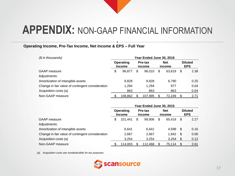### **Operating Income, Pre-Tax Income, Net Income & EPS – Full Year**

| (\$ in thousands)                                | Year Ended June 30, 2016 |         |    |                      |    |                              |    |      |
|--------------------------------------------------|--------------------------|---------|----|----------------------|----|------------------------------|----|------|
| Operating<br>Pre-tax<br><b>Income</b><br>income  |                          |         |    | <b>Net</b><br>income |    | <b>Diluted</b><br><b>EPS</b> |    |      |
| GAAP measure                                     | \$                       | 96.877  | \$ | 96.010               | \$ | 63.619                       | S  | 2.38 |
| Adjustments:                                     |                          |         |    |                      |    |                              |    |      |
| Amortization of intangible assets                |                          | 9,828   |    | 9,828                |    | 6.790                        |    | 0.25 |
| Change in fair value of contingent consideration |                          | 1,294   |    | 1,294                |    | 977                          |    | 0.04 |
| Acquisition costs (a)                            |                          | 863     |    | 863                  |    | 863                          |    | 0.04 |
| Non-GAAP measure                                 |                          | 108,862 |    | 107,995              | \$ | 72,249                       | \$ | 2.71 |

|                                                  | Year Ended June 30, 2015   |         |                   |         |                      |        |                              |      |  |  |
|--------------------------------------------------|----------------------------|---------|-------------------|---------|----------------------|--------|------------------------------|------|--|--|
| GAAP measure                                     | Operating<br><b>Income</b> |         | Pre-tax<br>income |         | <b>Net</b><br>income |        | <b>Diluted</b><br><b>EPS</b> |      |  |  |
|                                                  | \$                         | 101.441 | \$                | 99,906  | \$                   | 65,419 | S                            | 2.27 |  |  |
| Adjustments:                                     |                            |         |                   |         |                      |        |                              |      |  |  |
| Amortization of intangible assets                |                            | 6.641   |                   | 6,641   |                      | 4.599  | -\$                          | 0.16 |  |  |
| Change in fair value of contingent consideration |                            | 2,667   |                   | 2,667   |                      | 1.842  | -\$                          | 0.06 |  |  |
| Acquisition costs (a)                            |                            | 3,254   |                   | 3.254   |                      | 3.254  | S.                           | 0.12 |  |  |
| Non-GAAP measure                                 |                            | 114,003 |                   | 112,468 |                      | 75,114 |                              | 2.61 |  |  |

*(a) Acquisition costs are nondeductible for tax purposes.*

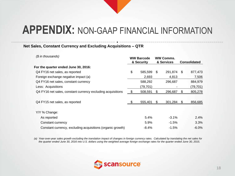#### **Net Sales, Constant Currency and Excluding Acquisitions – QTR**

| $$$ in thousands)                                           | <b>WW Barcode</b><br>& Security |           |    | <b>WW Comms.</b><br>& Services |    | <b>Consolidated</b> |
|-------------------------------------------------------------|---------------------------------|-----------|----|--------------------------------|----|---------------------|
| For the quarter ended June 30, 2016:                        |                                 |           |    |                                |    |                     |
| Q4 FY16 net sales, as reported                              | \$                              | 585,599   | \$ | 291,874                        | S. | 877,473             |
| Foreign exchange negative impact (a)                        |                                 | 2,693     |    | 4,813                          |    | 7,506               |
| Q4 FY16 net sales, constant currency                        |                                 | 588,292   |    | 296,687                        |    | 884,979             |
| Less: Acquisitions                                          |                                 | (79, 701) |    |                                |    | (79, 701)           |
| Q4 FY16 net sales, constant currency excluding acquisitions | - \$                            | 508,591   | \$ | 296,687                        | æ. | 805,278             |
| Q4 FY15 net sales, as reported                              |                                 | 555,401   | S. | 301,284                        | S. | 856,685             |
| Y/Y % Change:                                               |                                 |           |    |                                |    |                     |
| As reported                                                 |                                 | 5.4%      |    | $-3.1\%$                       |    | 2.4%                |
| Constant currency                                           |                                 | 5.9%      |    | $-1.5%$                        |    | 3.3%                |
| Constant currency, excluding acquisitions (organic growth)  |                                 | $-8.4%$   |    | $-1.5%$                        |    | $-6.0\%$            |

*(a) Year-over-year sales growth excluding the translation impact of changes in foreign currency rates. Calculated by translating the net sales for the quarter ended June 30, 2016 into U.S. dollars using the weighted average foreign exchange rates for the quarter ended June 30, 2015.*

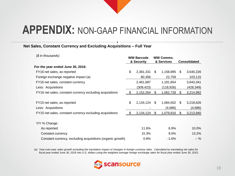#### **Net Sales, Constant Currency and Excluding Acquisitions – Full Year**

| (\$ in thousands)                                          | <b>WW Barcode</b><br>& Security |           |    | <b>WW Comms.</b><br>& Services |     | <b>Consolidated</b> |
|------------------------------------------------------------|---------------------------------|-----------|----|--------------------------------|-----|---------------------|
| For the year ended June 30, 2016:                          |                                 |           |    |                                |     |                     |
| FY16 net sales, as reported                                | \$                              | 2,381,331 | \$ | 1,158,895                      | \$  | 3,540,226           |
| Foreign exchange negative impact (a)                       |                                 | 80,356    |    | 22,759                         |     | 103,115             |
| FY16 net sales, constant currency                          |                                 | 2,461,687 |    | 1,181,654                      |     | 3,643,341           |
| Less: Acquisitions                                         |                                 | (309,423) |    | (118, 926)                     |     | (428,349)           |
| FY16 net sales, constant currency excluding acquisitions   | - \$                            | 2,152,264 | S  | 1,062,728                      | æ.  | 3,214,992           |
|                                                            |                                 |           |    |                                |     |                     |
| FY15 net sales, as reported                                | \$                              | 2,134,124 | \$ | 1,084,502                      | \$. | 3,218,626           |
| Less: Acquisitions                                         |                                 |           |    | (4,686)                        |     | (4,686)             |
| FY15 net sales, constant currency excluding acquisitions   | $\mathfrak{D}$                  | 2,134,124 | S. | 1,079,816                      | S   | 3,213,940           |
| Y/Y % Change:                                              |                                 |           |    |                                |     |                     |
| As reported                                                |                                 | 11.6%     |    | 6.9%                           |     | 10.0%               |
| Constant currency                                          |                                 | 15.3%     |    | 9.0%                           |     | 13.2%               |
| Constant currency, excluding acquisitions (organic growth) |                                 | 0.8%      |    | $-1.6%$                        |     | $-$ %               |

*(a) Year-over-year sales growth excluding the translation impact of changes in foreign currency rates. Calculated by translating net sales for fiscal year ended June 30, 2016 into U.S. dollars using the weighted average foreign exchange rates for fiscal year ended June 30, 2015.*

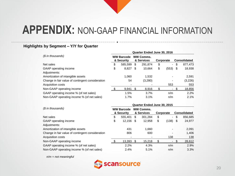#### **Highlights by Segment – Y/Y for Quarter**

|                                                      | Quarter Ended June 30, 2016 |         |                                |         |           |                     |      |         |  |  |
|------------------------------------------------------|-----------------------------|---------|--------------------------------|---------|-----------|---------------------|------|---------|--|--|
| (\$ in thousands)<br><b>WW Barcode</b><br>& Security |                             |         | <b>WW Comms.</b><br>& Services |         | Corporate | <b>Consolidated</b> |      |         |  |  |
| Net sales                                            | \$                          | 585,599 | \$                             | 291.874 | \$        | $\blacksquare$      | \$   | 877,473 |  |  |
| GAAP operating income                                | \$                          | 8,827   | \$                             | 10.664  | \$        | (553)               | - \$ | 18,938  |  |  |
| Adjustments:                                         |                             |         |                                |         |           |                     |      |         |  |  |
| Amortization of intangible assets                    |                             | 1.060   |                                | 1.532   |           |                     |      | 2,591   |  |  |
| Change in fair value of contingent consideration     |                             | 54      |                                | (3,280) |           |                     |      | (3,226) |  |  |
| Acquisition costs                                    |                             |         |                                |         |           | 553                 |      | 553     |  |  |
| Non-GAAP operating income                            |                             | 9.941   | S                              | 8,916   |           |                     |      | 18,856  |  |  |
| GAAP operating income % (of net sales)               |                             | 1.5%    |                                | 3.7%    |           | n/m                 |      | $2.2\%$ |  |  |
| Non-GAAP operating income % (of net sales)           |                             | 1.7%    |                                | 3.1%    |           | n/m                 |      | 2.1%    |  |  |

|                                                  | Quarter Ended June 30, 2015     |         |                                |         |           |                          |     |                     |  |  |
|--------------------------------------------------|---------------------------------|---------|--------------------------------|---------|-----------|--------------------------|-----|---------------------|--|--|
| (\$ in thousands)                                | <b>WW Barcode</b><br>& Security |         | <b>WW Comms.</b><br>& Services |         | Corporate |                          |     | <b>Consolidated</b> |  |  |
| Net sales                                        | \$                              | 555.401 | \$                             | 301,284 | \$        | $\overline{\phantom{0}}$ | \$  | 856,685             |  |  |
| GAAP operating income                            | \$                              | 12,156  | - \$                           | 12,958  | \$        | (138)                    | -\$ | 24,977              |  |  |
| Adjustments:                                     |                                 |         |                                |         |           |                          |     |                     |  |  |
| Amortization of intangible assets                |                                 | 431     |                                | 1.660   |           |                          |     | 2,091               |  |  |
| Change in fair value of contingent consideration |                                 | 806     |                                | 600     |           |                          |     | 1,406               |  |  |
| Acquisition costs                                |                                 |         |                                |         |           | 138                      |     | 138                 |  |  |
| Non-GAAP operating income                        |                                 | 13,393  | -S                             | 15,218  |           |                          |     | 28,612              |  |  |
| GAAP operating income % (of net sales)           |                                 | 2.2%    |                                | 4.3%    |           | n/m                      |     | 2.9%                |  |  |
| Non-GAAP operating income % (of net sales)       |                                 | 2.4%    |                                | 5.1%    |           | n/m                      |     | 3.3%                |  |  |

*n/m = not meaningful*

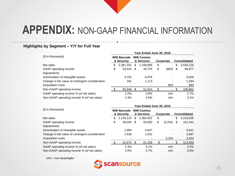#### **Highlights by Segment – Y/Y for Full Year**

|                                                  | Year Ended June 30, 2016        |           |      |                                |    |                          |                     |           |  |  |
|--------------------------------------------------|---------------------------------|-----------|------|--------------------------------|----|--------------------------|---------------------|-----------|--|--|
| (\$ in thousands)                                | <b>WW Barcode</b><br>& Security |           |      | <b>WW Comms.</b><br>& Services |    | Corporate                | <b>Consolidated</b> |           |  |  |
| Net sales                                        | \$                              | 2,381,331 | S    | 1,158,895                      | \$ | $\overline{\phantom{0}}$ | \$                  | 3,540,226 |  |  |
| GAAP operating income                            | \$                              | 53,015    | - \$ | 44,725                         | \$ | (863)                    | - \$                | 96,877    |  |  |
| Adjustments:                                     |                                 |           |      |                                |    |                          |                     |           |  |  |
| Amortization of intangible assets                |                                 | 3.752     |      | 6.076                          |    |                          |                     | 9,828     |  |  |
| Change in fair value of contingent consideration |                                 | 181       |      | 1,113                          |    |                          |                     | 1.294     |  |  |
| Acquisition costs                                |                                 |           |      |                                |    | 863                      |                     | 863       |  |  |
| Non-GAAP operating income                        |                                 | 56,948    | SS.  | 51,914                         |    |                          |                     | 108,862   |  |  |
| GAAP operating income % (of net sales)           |                                 | 2.2%      |      | 3.9%                           |    | n/m                      |                     | 2.7%      |  |  |
| Non-GAAP operating income % (of net sales)       |                                 | 2.4%      |      | 4.5%                           |    | n/m                      |                     | 3.1%      |  |  |

|                                                  | Year Ended June 30, 2015        |           |                                |           |           |                |                     |           |  |
|--------------------------------------------------|---------------------------------|-----------|--------------------------------|-----------|-----------|----------------|---------------------|-----------|--|
| (\$ in thousands)                                | <b>WW Barcode</b><br>& Security |           | <b>WW Comms.</b><br>& Services |           | Corporate |                | <b>Consolidated</b> |           |  |
| Net sales                                        | \$                              | 2,134,124 | S                              | 1.084.502 | \$        | $\blacksquare$ | \$                  | 3,218,626 |  |
| GAAP operating income                            | \$                              | 49,045    | \$.                            | 55.650    | \$        | (3,254)        | \$                  | 101,441   |  |
| Adjustments:                                     |                                 |           |                                |           |           |                |                     |           |  |
| Amortization of intangible assets                |                                 | 1.994     |                                | 4.647     |           |                |                     | 6,641     |  |
| Change in fair value of contingent consideration |                                 | 1,636     |                                | 1,031     |           |                |                     | 2,667     |  |
| Acquisition costs                                |                                 |           |                                |           |           | 3,254          |                     | 3,254     |  |
| Non-GAAP operating income                        |                                 | 52,675    |                                | 61,328    |           |                | \$                  | 114,003   |  |
| GAAP operating income % (of net sales)           |                                 | 2.3%      |                                | 5.1%      |           | n/m            |                     | 3.2%      |  |
| Non-GAAP operating income % (of net sales)       |                                 | 2.5%      |                                | 5.7%      |           | n/m            |                     | 3.5%      |  |

*n/m = not meaningful*

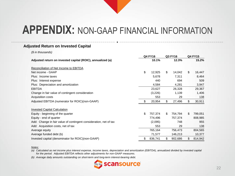#### **Adjusted Return on Invested Capital**

*(\$ in thousands)*

|                                                                   | <b>Q4 FY16</b> |         | Q3 FY16 |         | <b>Q4 FY15</b> |         |
|-------------------------------------------------------------------|----------------|---------|---------|---------|----------------|---------|
| Adjusted return on invested capital (ROIC), annualized (a)        |                | 10.1%   |         | 12.3%   |                | 15.2%   |
| Reconciliation of Net Income to EBITDA                            |                |         |         |         |                |         |
| Net income - GAAP                                                 | \$             | 12,925  | \$      | 14,042  | \$             | 16,447  |
| Plus: Income taxes                                                |                | 5,678   |         | 7,311   |                | 8,464   |
| Plus: Interest expense                                            |                | 440     |         | 694     |                | 509     |
| Plus: Depreciation and amortization                               |                | 4,584   |         | 4,281   |                | 3,947   |
| <b>EBITDA</b>                                                     |                | 23,627  |         | 26,328  |                | 29,367  |
| Change in fair value of contingent consideration                  |                | (3,226) |         | 1,139   |                | 1,406   |
| Acquisition costs                                                 |                | 553     |         | 29      |                | 138     |
| Adjusted EBITDA (numerator for ROIC)(non-GAAP)                    | \$             | 20,954  | \$      | 27,496  | \$             | 30,911  |
| <b>Invested Capital Calculation</b>                               |                |         |         |         |                |         |
| Equity - beginning of the quarter                                 | \$             | 757,374 | \$      | 754,794 | \$             | 799,051 |
| Equity - end of quarter                                           |                | 774,496 |         | 757,374 |                | 808,985 |
| Add: Change in fair value of contingent consideration, net of tax |                | (2,095) |         | 748     |                | 955     |
| Add: Acquisition costs, net of tax                                |                | 553     |         | 29      |                | 138     |
| Average equity                                                    |                | 765,164 |         | 756,473 |                | 804,565 |
| Average funded debt (b)                                           |                | 71,577  |         | 146,213 |                | 10,377  |
| Invested capital (denominator for ROIC)(non-GAAP)                 | \$             | 836,741 | \$      | 902,686 | \$             | 814,942 |

#### *Notes:*

*(a) Calculated as net income plus interest expense, income taxes, depreciation and amortization (EBITDA), annualized divided by invested capital for the period. Adjusted EBITDA reflects other adjustments for non-GAAP measures.*

*(b) Average daily amounts outstanding on short-term and long-term interest-bearing debt.*